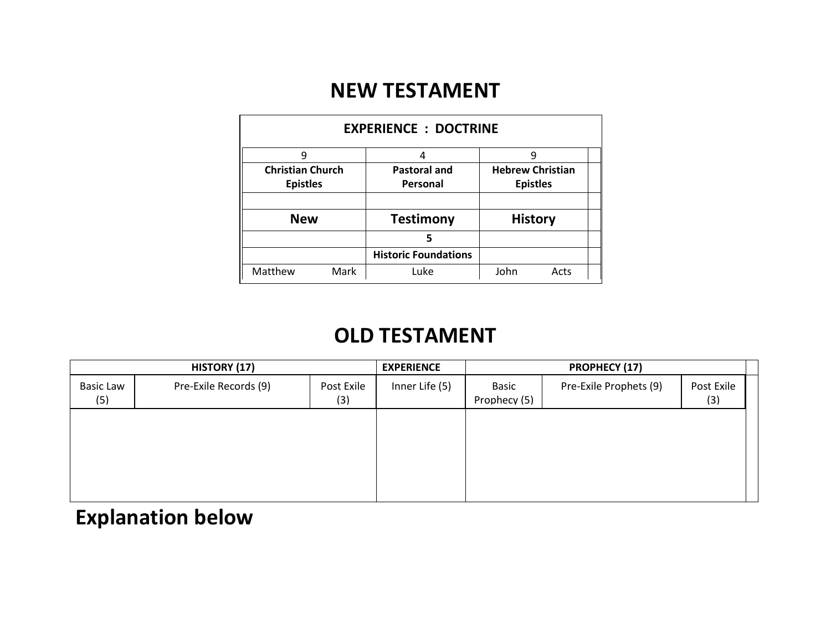## **NEW TESTAMENT**

| <b>EXPERIENCE : DOCTRINE</b> |      |                             |                         |      |  |  |  |  |  |  |
|------------------------------|------|-----------------------------|-------------------------|------|--|--|--|--|--|--|
| 9                            |      | 4                           | 9                       |      |  |  |  |  |  |  |
| <b>Christian Church</b>      |      | <b>Pastoral and</b>         | <b>Hebrew Christian</b> |      |  |  |  |  |  |  |
| <b>Epistles</b>              |      | Personal                    | <b>Epistles</b>         |      |  |  |  |  |  |  |
|                              |      |                             |                         |      |  |  |  |  |  |  |
| <b>New</b>                   |      | <b>Testimony</b>            | <b>History</b>          |      |  |  |  |  |  |  |
|                              |      | 5                           |                         |      |  |  |  |  |  |  |
|                              |      | <b>Historic Foundations</b> |                         |      |  |  |  |  |  |  |
| Matthew                      | Mark | Luke                        | John                    | Acts |  |  |  |  |  |  |

# **OLD TESTAMENT**

| HISTORY (17)            |                       |                   | <b>EXPERIENCE</b> | <b>PROPHECY (17)</b>  |                        |                   |
|-------------------------|-----------------------|-------------------|-------------------|-----------------------|------------------------|-------------------|
| <b>Basic Law</b><br>(5) | Pre-Exile Records (9) | Post Exile<br>(3) | Inner Life (5)    | Basic<br>Prophecy (5) | Pre-Exile Prophets (9) | Post Exile<br>(3) |
|                         |                       |                   |                   |                       |                        |                   |
|                         |                       |                   |                   |                       |                        |                   |
|                         |                       |                   |                   |                       |                        |                   |
|                         |                       |                   |                   |                       |                        |                   |

# **Explanation below**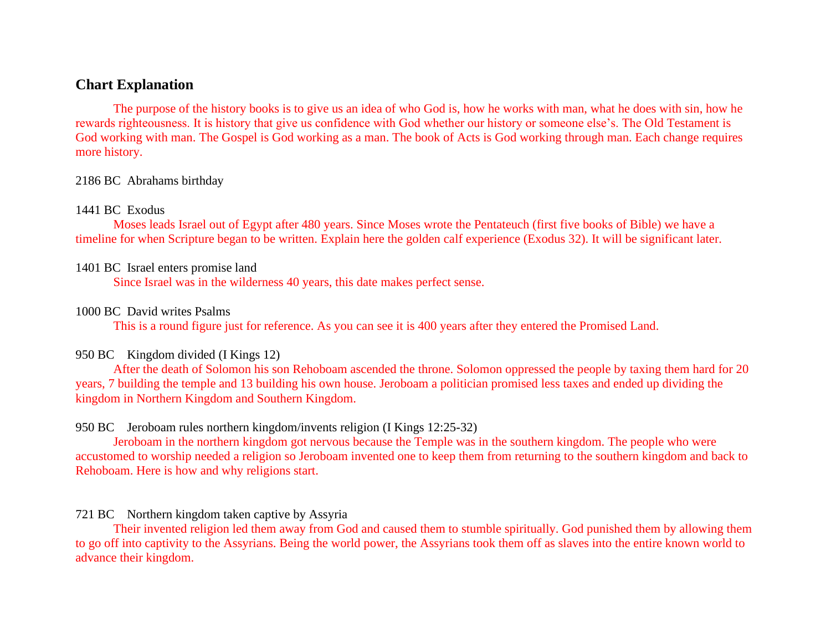#### **Chart Explanation**

The purpose of the history books is to give us an idea of who God is, how he works with man, what he does with sin, how he rewards righteousness. It is history that give us confidence with God whether our history or someone else's. The Old Testament is God working with man. The Gospel is God working as a man. The book of Acts is God working through man. Each change requires more history.

#### 2186 BC Abrahams birthday

#### 1441 BC Exodus

Moses leads Israel out of Egypt after 480 years. Since Moses wrote the Pentateuch (first five books of Bible) we have a timeline for when Scripture began to be written. Explain here the golden calf experience (Exodus 32). It will be significant later.

#### 1401 BC Israel enters promise land

Since Israel was in the wilderness 40 years, this date makes perfect sense.

#### 1000 BC David writes Psalms

This is a round figure just for reference. As you can see it is 400 years after they entered the Promised Land.

#### 950 BC Kingdom divided (I Kings 12)

After the death of Solomon his son Rehoboam ascended the throne. Solomon oppressed the people by taxing them hard for 20 years, 7 building the temple and 13 building his own house. Jeroboam a politician promised less taxes and ended up dividing the kingdom in Northern Kingdom and Southern Kingdom.

#### 950 BC Jeroboam rules northern kingdom/invents religion (I Kings 12:25-32)

Jeroboam in the northern kingdom got nervous because the Temple was in the southern kingdom. The people who were accustomed to worship needed a religion so Jeroboam invented one to keep them from returning to the southern kingdom and back to Rehoboam. Here is how and why religions start.

#### 721 BC Northern kingdom taken captive by Assyria

Their invented religion led them away from God and caused them to stumble spiritually. God punished them by allowing them to go off into captivity to the Assyrians. Being the world power, the Assyrians took them off as slaves into the entire known world to advance their kingdom.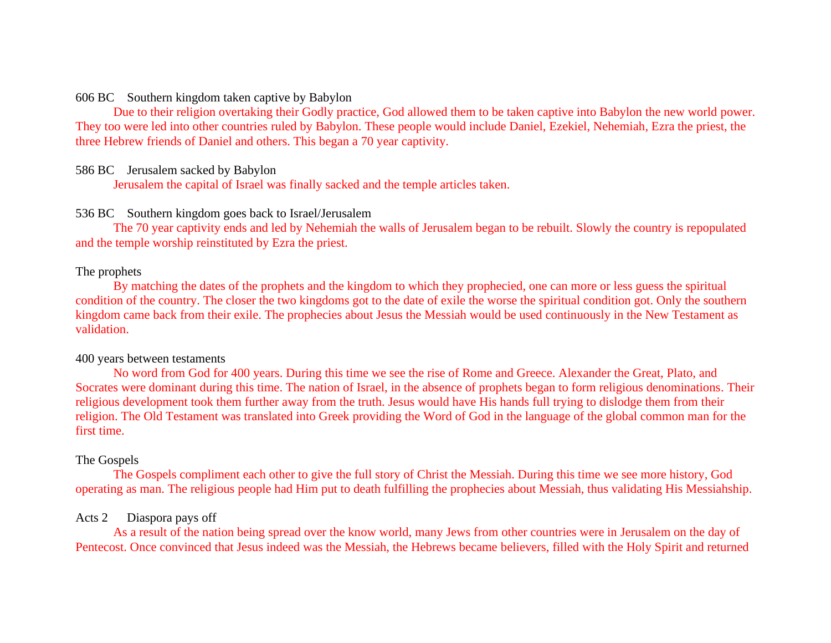#### 606 BC Southern kingdom taken captive by Babylon

Due to their religion overtaking their Godly practice, God allowed them to be taken captive into Babylon the new world power. They too were led into other countries ruled by Babylon. These people would include Daniel, Ezekiel, Nehemiah, Ezra the priest, the three Hebrew friends of Daniel and others. This began a 70 year captivity.

#### 586 BC Jerusalem sacked by Babylon

Jerusalem the capital of Israel was finally sacked and the temple articles taken.

#### 536 BC Southern kingdom goes back to Israel/Jerusalem

The 70 year captivity ends and led by Nehemiah the walls of Jerusalem began to be rebuilt. Slowly the country is repopulated and the temple worship reinstituted by Ezra the priest.

#### The prophets

By matching the dates of the prophets and the kingdom to which they prophecied, one can more or less guess the spiritual condition of the country. The closer the two kingdoms got to the date of exile the worse the spiritual condition got. Only the southern kingdom came back from their exile. The prophecies about Jesus the Messiah would be used continuously in the New Testament as validation.

#### 400 years between testaments

No word from God for 400 years. During this time we see the rise of Rome and Greece. Alexander the Great, Plato, and Socrates were dominant during this time. The nation of Israel, in the absence of prophets began to form religious denominations. Their religious development took them further away from the truth. Jesus would have His hands full trying to dislodge them from their religion. The Old Testament was translated into Greek providing the Word of God in the language of the global common man for the first time.

#### The Gospels

The Gospels compliment each other to give the full story of Christ the Messiah. During this time we see more history, God operating as man. The religious people had Him put to death fulfilling the prophecies about Messiah, thus validating His Messiahship.

#### Acts 2 Diaspora pays off

As a result of the nation being spread over the know world, many Jews from other countries were in Jerusalem on the day of Pentecost. Once convinced that Jesus indeed was the Messiah, the Hebrews became believers, filled with the Holy Spirit and returned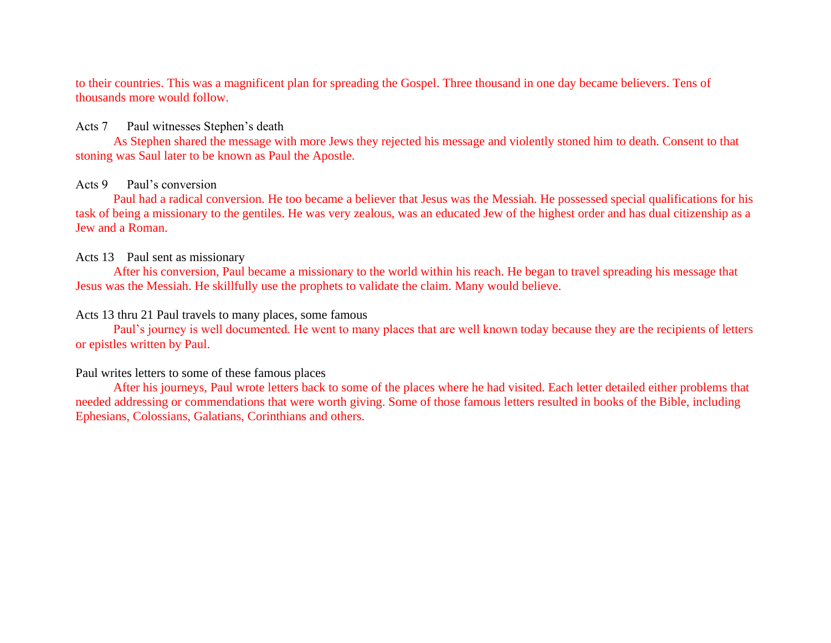to their countries. This was a magnificent plan for spreading the Gospel. Three thousand in one day became believers. Tens of thousands more would follow.

#### Acts 7 Paul witnesses Stephen's death

As Stephen shared the message with more Jews they rejected his message and violently stoned him to death. Consent to that stoning was Saul later to be known as Paul the Apostle.

#### Acts 9 Paul's conversion

Paul had a radical conversion. He too became a believer that Jesus was the Messiah. He possessed special qualifications for his task of being a missionary to the gentiles. He was very zealous, was an educated Jew of the highest order and has dual citizenship as a Jew and a Roman.

#### Acts 13 Paul sent as missionary

After his conversion, Paul became a missionary to the world within his reach. He began to travel spreading his message that Jesus was the Messiah. He skillfully use the prophets to validate the claim. Many would believe.

#### Acts 13 thru 21 Paul travels to many places, some famous

Paul's journey is well documented. He went to many places that are well known today because they are the recipients of letters or epistles written by Paul.

#### Paul writes letters to some of these famous places

After his journeys, Paul wrote letters back to some of the places where he had visited. Each letter detailed either problems that needed addressing or commendations that were worth giving. Some of those famous letters resulted in books of the Bible, including Ephesians, Colossians, Galatians, Corinthians and others.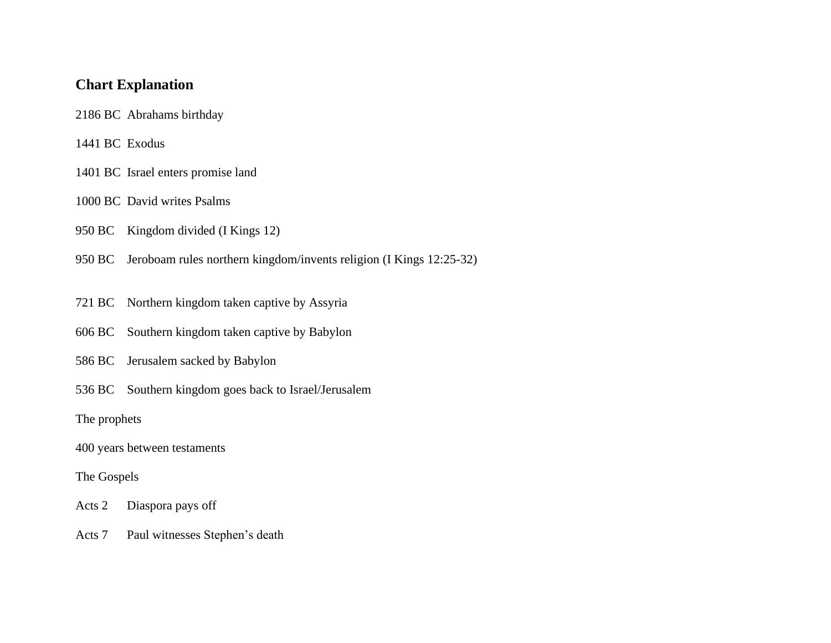## **Chart Explanation**

- 2186 BC Abrahams birthday
- 1441 BC Exodus
- 1401 BC Israel enters promise land
- 1000 BC David writes Psalms
- 950 BC Kingdom divided (I Kings 12)
- 950 BC Jeroboam rules northern kingdom/invents religion (I Kings 12:25-32)
- 721 BC Northern kingdom taken captive by Assyria
- 606 BC Southern kingdom taken captive by Babylon
- 586 BC Jerusalem sacked by Babylon
- 536 BC Southern kingdom goes back to Israel/Jerusalem

The prophets

400 years between testaments

#### The Gospels

- Acts 2 Diaspora pays off
- Acts 7 Paul witnesses Stephen's death